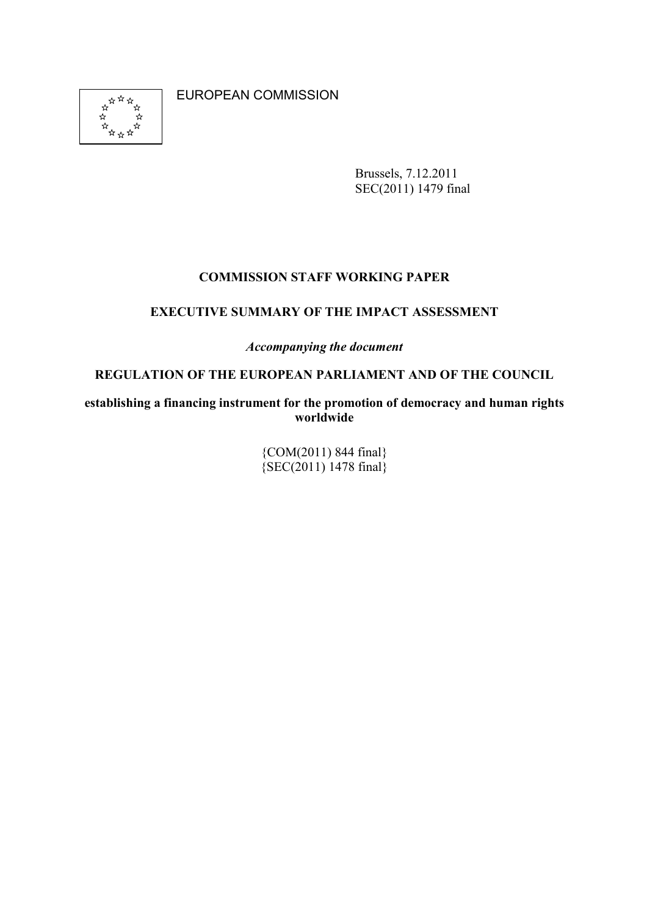**ARTH**<br>XX<br>XX<br>XX<br>XX ่\* ্র

EUROPEAN COMMISSION

Brussels, 7.12.2011 SEC(2011) 1479 final

### **COMMISSION STAFF WORKING PAPER**

#### **EXECUTIVE SUMMARY OF THE IMPACT ASSESSMENT**

*Accompanying the document* 

#### **REGULATION OF THE EUROPEAN PARLIAMENT AND OF THE COUNCIL**

**establishing a financing instrument for the promotion of democracy and human rights worldwide** 

> {COM(2011) 844 final}  ${SEC(2011) 1478$  final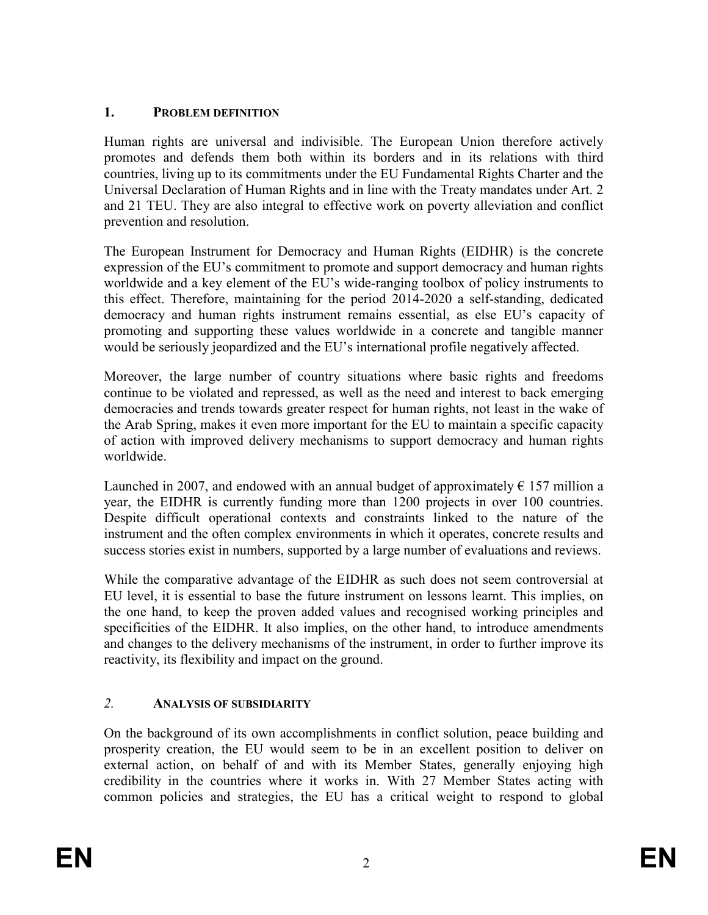## 1. **PROBLEM DEFINITION**

Human rights are universal and indivisible. The European Union therefore actively promotes and defends them both within its borders and in its relations with third countries, living up to its commitments under the EU Fundamental Rights Charter and the Universal Declaration of Human Rights and in line with the Treaty mandates under Art. 2 and 21 TEU. They are also integral to effective work on poverty alleviation and conflict prevention and resolution.

The European Instrument for Democracy and Human Rights (EIDHR) is the concrete expression of the EU's commitment to promote and support democracy and human rights worldwide and a key element of the EU's wide-ranging toolbox of policy instruments to this effect. Therefore, maintaining for the period 2014-2020 a self-standing, dedicated democracy and human rights instrument remains essential, as else EU's capacity of promoting and supporting these values worldwide in a concrete and tangible manner would be seriously jeopardized and the EU's international profile negatively affected.

Moreover, the large number of country situations where basic rights and freedoms continue to be violated and repressed, as well as the need and interest to back emerging democracies and trends towards greater respect for human rights, not least in the wake of the Arab Spring, makes it even more important for the EU to maintain a specific capacity of action with improved delivery mechanisms to support democracy and human rights worldwide.

Launched in 2007, and endowed with an annual budget of approximately  $\epsilon$  157 million a year, the EIDHR is currently funding more than 1200 projects in over 100 countries. Despite difficult operational contexts and constraints linked to the nature of the instrument and the often complex environments in which it operates, concrete results and success stories exist in numbers, supported by a large number of evaluations and reviews.

While the comparative advantage of the EIDHR as such does not seem controversial at EU level, it is essential to base the future instrument on lessons learnt. This implies, on the one hand, to keep the proven added values and recognised working principles and specificities of the EIDHR. It also implies, on the other hand, to introduce amendments and changes to the delivery mechanisms of the instrument, in order to further improve its reactivity, its flexibility and impact on the ground.

# *2.* **AALYSIS OF SUBSIDIARITY**

On the background of its own accomplishments in conflict solution, peace building and prosperity creation, the EU would seem to be in an excellent position to deliver on external action, on behalf of and with its Member States, generally enjoying high credibility in the countries where it works in. With 27 Member States acting with common policies and strategies, the EU has a critical weight to respond to global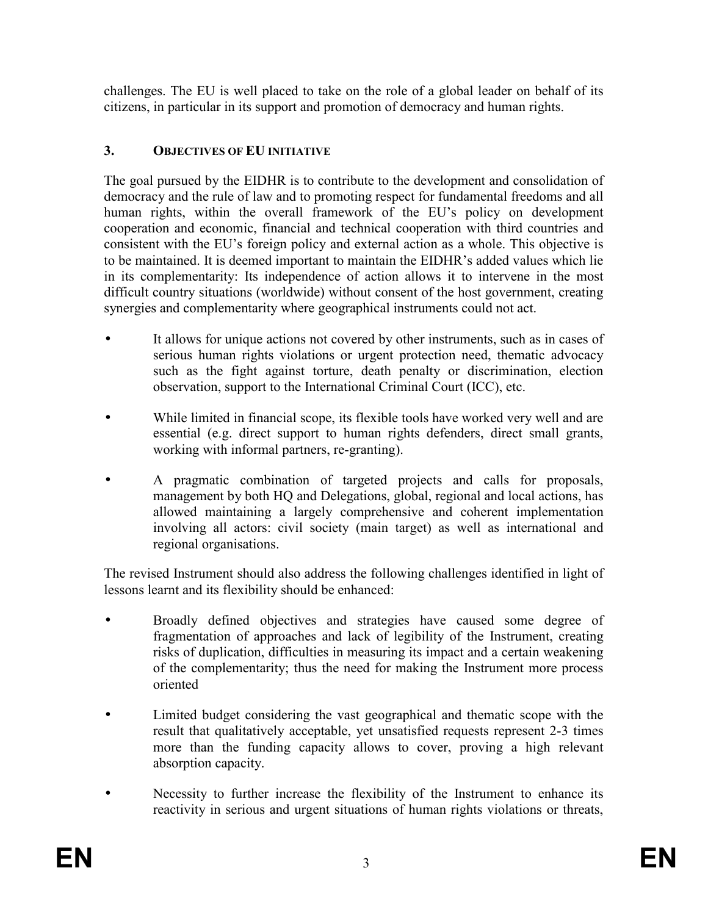challenges. The EU is well placed to take on the role of a global leader on behalf of its citizens, in particular in its support and promotion of democracy and human rights.

# **3. OBJECTIVES OF EU IITIATIVE**

The goal pursued by the EIDHR is to contribute to the development and consolidation of democracy and the rule of law and to promoting respect for fundamental freedoms and all human rights, within the overall framework of the EU's policy on development cooperation and economic, financial and technical cooperation with third countries and consistent with the EU's foreign policy and external action as a whole. This objective is to be maintained. It is deemed important to maintain the EIDHR's added values which lie in its complementarity: Its independence of action allows it to intervene in the most difficult country situations (worldwide) without consent of the host government, creating synergies and complementarity where geographical instruments could not act.

- It allows for unique actions not covered by other instruments, such as in cases of serious human rights violations or urgent protection need, thematic advocacy such as the fight against torture, death penalty or discrimination, election observation, support to the International Criminal Court (ICC), etc.
- While limited in financial scope, its flexible tools have worked very well and are essential (e.g. direct support to human rights defenders, direct small grants, working with informal partners, re-granting).
- A pragmatic combination of targeted projects and calls for proposals, management by both HQ and Delegations, global, regional and local actions, has allowed maintaining a largely comprehensive and coherent implementation involving all actors: civil society (main target) as well as international and regional organisations.

The revised Instrument should also address the following challenges identified in light of lessons learnt and its flexibility should be enhanced:

- Broadly defined objectives and strategies have caused some degree of fragmentation of approaches and lack of legibility of the Instrument, creating risks of duplication, difficulties in measuring its impact and a certain weakening of the complementarity; thus the need for making the Instrument more process oriented
- Limited budget considering the vast geographical and thematic scope with the result that qualitatively acceptable, yet unsatisfied requests represent 2-3 times more than the funding capacity allows to cover, proving a high relevant absorption capacity.
- Necessity to further increase the flexibility of the Instrument to enhance its reactivity in serious and urgent situations of human rights violations or threats,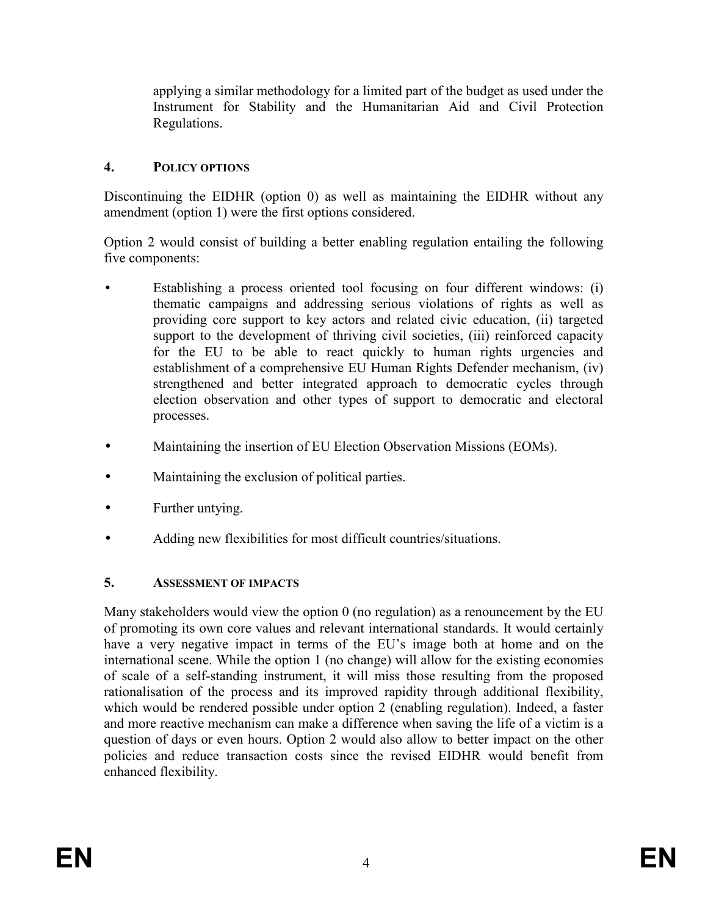applying a similar methodology for a limited part of the budget as used under the Instrument for Stability and the Humanitarian Aid and Civil Protection Regulations.

### **4. POLICY OPTIOS**

Discontinuing the EIDHR (option 0) as well as maintaining the EIDHR without any amendment (option 1) were the first options considered.

Option 2 would consist of building a better enabling regulation entailing the following five components:

- Establishing a process oriented tool focusing on four different windows: (i) thematic campaigns and addressing serious violations of rights as well as providing core support to key actors and related civic education, (ii) targeted support to the development of thriving civil societies, (iii) reinforced capacity for the EU to be able to react quickly to human rights urgencies and establishment of a comprehensive EU Human Rights Defender mechanism, (iv) strengthened and better integrated approach to democratic cycles through election observation and other types of support to democratic and electoral processes.
- Maintaining the insertion of EU Election Observation Missions (EOMs).
- Maintaining the exclusion of political parties.
- Further untying.
- Adding new flexibilities for most difficult countries/situations.

### **5. ASSESSMET OF IMPACTS**

Many stakeholders would view the option 0 (no regulation) as a renouncement by the EU of promoting its own core values and relevant international standards. It would certainly have a very negative impact in terms of the EU's image both at home and on the international scene. While the option 1 (no change) will allow for the existing economies of scale of a self-standing instrument, it will miss those resulting from the proposed rationalisation of the process and its improved rapidity through additional flexibility, which would be rendered possible under option 2 (enabling regulation). Indeed, a faster and more reactive mechanism can make a difference when saving the life of a victim is a question of days or even hours. Option 2 would also allow to better impact on the other policies and reduce transaction costs since the revised EIDHR would benefit from enhanced flexibility.